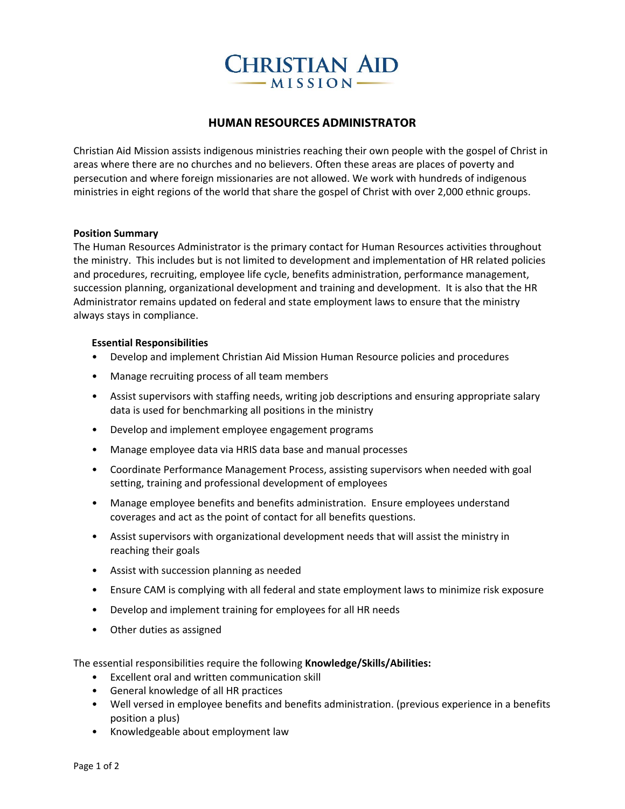# **CHRISTIAN AID**  $-MISSION-$

## **HUMAN RESOURCES ADMINISTRATOR**

Christian Aid Mission assists indigenous ministries reaching their own people with the gospel of Christ in areas where there are no churches and no believers. Often these areas are places of poverty and persecution and where foreign missionaries are not allowed. We work with hundreds of indigenous ministries in eight regions of the world that share the gospel of Christ with over 2,000 ethnic groups.

#### **Position Summary**

The Human Resources Administrator is the primary contact for Human Resources activities throughout the ministry. This includes but is not limited to development and implementation of HR related policies and procedures, recruiting, employee life cycle, benefits administration, performance management, succession planning, organizational development and training and development. It is also that the HR Administrator remains updated on federal and state employment laws to ensure that the ministry always stays in compliance.

#### **Essential Responsibilities**

- Develop and implement Christian Aid Mission Human Resource policies and procedures
- Manage recruiting process of all team members
- Assist supervisors with staffing needs, writing job descriptions and ensuring appropriate salary data is used for benchmarking all positions in the ministry
- Develop and implement employee engagement programs
- Manage employee data via HRIS data base and manual processes
- Coordinate Performance Management Process, assisting supervisors when needed with goal setting, training and professional development of employees
- Manage employee benefits and benefits administration. Ensure employees understand coverages and act as the point of contact for all benefits questions.
- Assist supervisors with organizational development needs that will assist the ministry in reaching their goals
- Assist with succession planning as needed
- Ensure CAM is complying with all federal and state employment laws to minimize risk exposure
- Develop and implement training for employees for all HR needs
- Other duties as assigned

The essential responsibilities require the following **Knowledge/Skills/Abilities:**

- Excellent oral and written communication skill
- General knowledge of all HR practices
- Well versed in employee benefits and benefits administration. (previous experience in a benefits position a plus)
- Knowledgeable about employment law